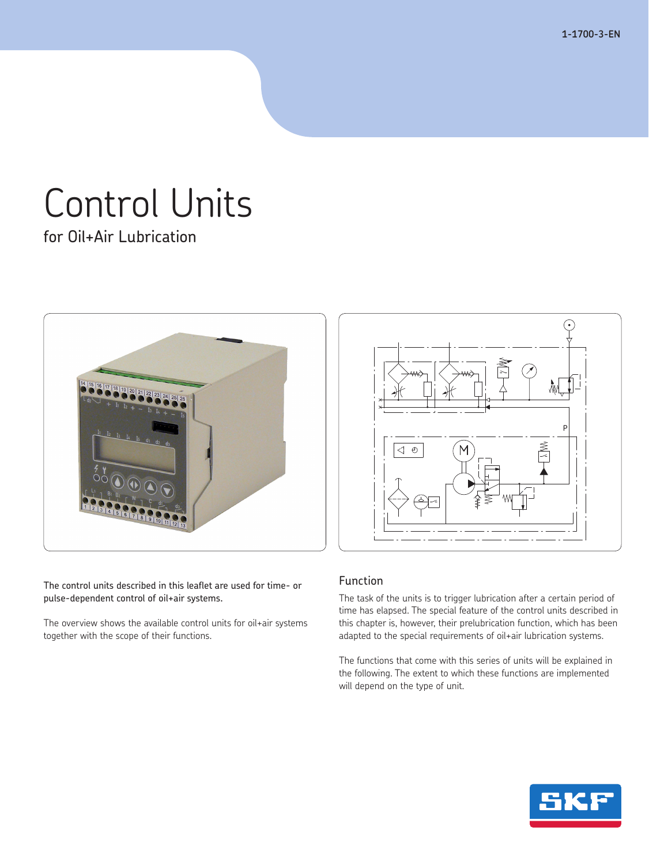**1-1700-3-EN**

# Control Units

for Oil+Air Lubrication



The control units described in this leaflet are used for time- or pulse-dependent control of oil+air systems.

The overview shows the available control units for oil+air systems together with the scope of their functions.



## Function

The task of the units is to trigger lubrication after a certain period of time has elapsed. The special feature of the control units described in this chapter is, however, their prelubrication function, which has been adapted to the special requirements of oil+air lubrication systems.

The functions that come with this series of units will be explained in the following. The extent to which these functions are implemented will depend on the type of unit.

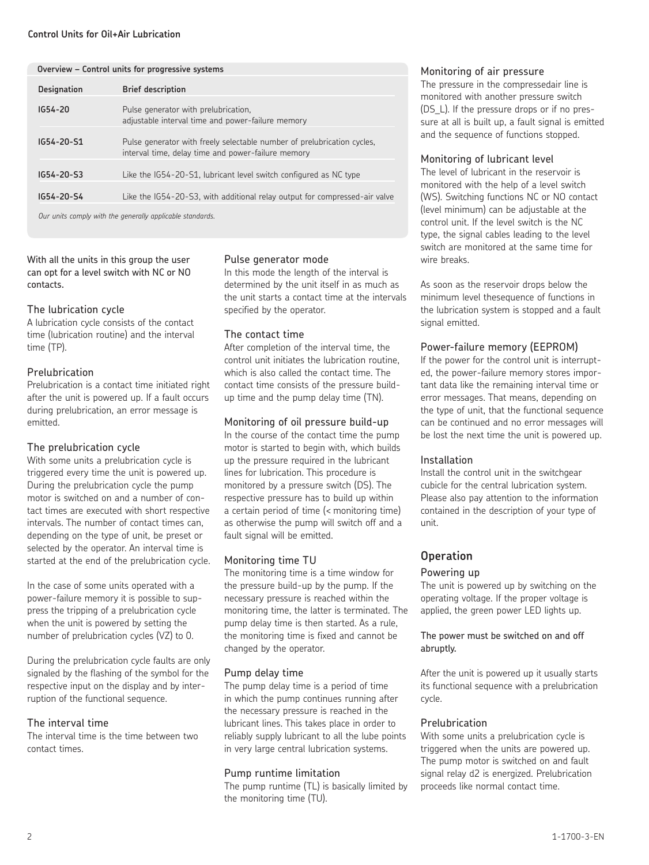#### **Control Units for Oil+Air Lubrication**

|                    | Overview - Control units for progressive systems                                                                              |
|--------------------|-------------------------------------------------------------------------------------------------------------------------------|
| <b>Designation</b> | <b>Brief description</b>                                                                                                      |
| $IG54 - 20$        | Pulse generator with prelubrication,<br>adjustable interval time and power-failure memory                                     |
| $IG54 - 20 - 51$   | Pulse generator with freely selectable number of prelubrication cycles.<br>interval time, delay time and power-failure memory |
| $IG54 - 20 - 53$   | Like the IG54-20-S1, lubricant level switch configured as NC type                                                             |
| IG54-20-S4         | Like the IG54-20-S3, with additional relay output for compressed-air valve                                                    |
|                    | Our units comply with the generally applicable standards                                                                      |

 *Our units comply with the generally applicable standards.*

With all the units in this group the user can opt for a level switch with NC or NO contacts.

#### The lubrication cycle

A lubrication cycle consists of the contact time (lubrication routine) and the interval time (TP).

#### Prelubrication

Prelubrication is a contact time initiated right after the unit is powered up. If a fault occurs during prelubrication, an error message is emitted.

#### The prelubrication cycle

With some units a prelubrication cycle is triggered every time the unit is powered up. During the prelubrication cycle the pump motor is switched on and a number of contact times are executed with short respective intervals. The number of contact times can, depending on the type of unit, be preset or selected by the operator. An interval time is started at the end of the prelubrication cycle.

In the case of some units operated with a power-failure memory it is possible to suppress the tripping of a prelubrication cycle when the unit is powered by setting the number of prelubrication cycles (VZ) to 0.

During the prelubrication cycle faults are only signaled by the flashing of the symbol for the respective input on the display and by interruption of the functional sequence.

#### The interval time

The interval time is the time between two contact times.

#### Pulse generator mode

In this mode the length of the interval is determined by the unit itself in as much as the unit starts a contact time at the intervals specified by the operator.

#### The contact time

After completion of the interval time, the control unit initiates the lubrication routine, which is also called the contact time. The contact time consists of the pressure buildup time and the pump delay time (TN).

#### Monitoring of oil pressure build-up

In the course of the contact time the pump motor is started to begin with, which builds up the pressure required in the lubricant lines for lubrication. This procedure is monitored by a pressure switch (DS). The respective pressure has to build up within a certain period of time (< monitoring time) as otherwise the pump will switch off and a fault signal will be emitted.

#### Monitoring time TU

The monitoring time is a time window for the pressure build-up by the pump. If the necessary pressure is reached within the monitoring time, the latter is terminated. The pump delay time is then started. As a rule, the monitoring time is fixed and cannot be changed by the operator.

#### Pump delay time

The pump delay time is a period of time in which the pump continues running after the necessary pressure is reached in the lubricant lines. This takes place in order to reliably supply lubricant to all the lube points in very large central lubrication systems.

#### Pump runtime limitation

The pump runtime (TL) is basically limited by the monitoring time (TU).

#### Monitoring of air pressure

The pressure in the compressedair line is monitored with another pressure switch (DS\_L). If the pressure drops or if no pressure at all is built up, a fault signal is emitted and the sequence of functions stopped.

#### Monitoring of lubricant level

The level of lubricant in the reservoir is monitored with the help of a level switch (WS). Switching functions NC or NO contact (level minimum) can be adjustable at the control unit. If the level switch is the NC type, the signal cables leading to the level switch are monitored at the same time for wire breaks.

As soon as the reservoir drops below the minimum level thesequence of functions in the lubrication system is stopped and a fault signal emitted.

#### Power-failure memory (EEPROM)

If the power for the control unit is interrupted, the power-failure memory stores important data like the remaining interval time or error messages. That means, depending on the type of unit, that the functional sequence can be continued and no error messages will be lost the next time the unit is powered up.

#### Installation

Install the control unit in the switchgear cubicle for the central lubrication system. Please also pay attention to the information contained in the description of your type of unit.

## **Operation**

#### Powering up

The unit is powered up by switching on the operating voltage. If the proper voltage is applied, the green power LED lights up.

The power must be switched on and off abruptly.

After the unit is powered up it usually starts its functional sequence with a prelubrication cycle.

#### Prelubrication

With some units a prelubrication cycle is triggered when the units are powered up. The pump motor is switched on and fault signal relay d2 is energized. Prelubrication proceeds like normal contact time.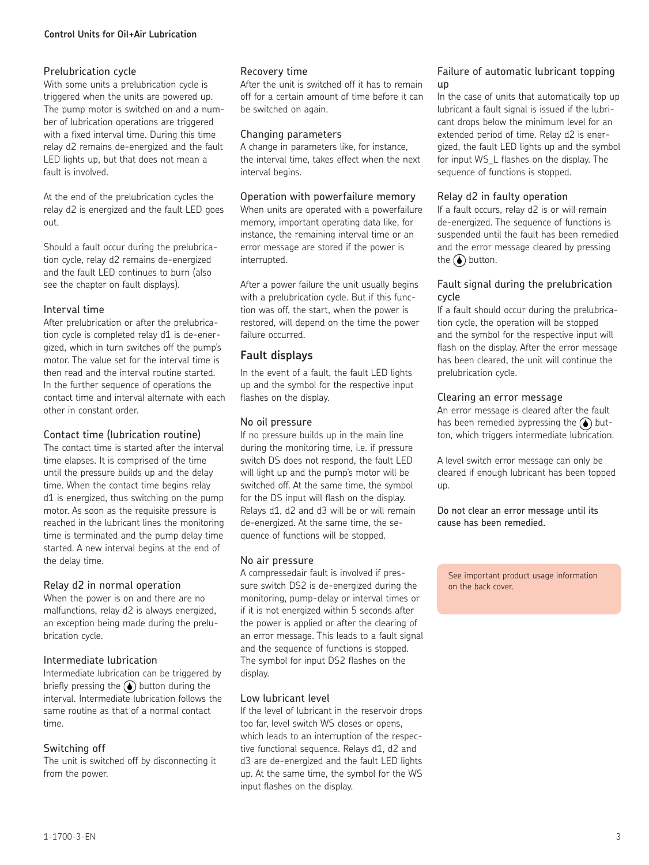#### **Control Units for Oil+Air Lubrication**

#### Prelubrication cycle

With some units a prelubrication cycle is triggered when the units are powered up. The pump motor is switched on and a number of lubrication operations are triggered with a fixed interval time. During this time relay d2 remains de-energized and the fault LED lights up, but that does not mean a fault is involved.

At the end of the prelubrication cycles the relay d2 is energized and the fault LED goes out.

Should a fault occur during the prelubrication cycle, relay d2 remains de-energized and the fault LED continues to burn (also see the chapter on fault displays).

#### Interval time

After prelubrication or after the prelubrication cycle is completed relay d1 is de-energized, which in turn switches off the pump's motor. The value set for the interval time is then read and the interval routine started. In the further sequence of operations the contact time and interval alternate with each other in constant order.

#### Contact time (lubrication routine)

The contact time is started after the interval time elapses. It is comprised of the time until the pressure builds up and the delay time. When the contact time begins relay d1 is energized, thus switching on the pump motor. As soon as the requisite pressure is reached in the lubricant lines the monitoring time is terminated and the pump delay time started. A new interval begins at the end of the delay time.

#### Relay d2 in normal operation

When the power is on and there are no malfunctions, relay d2 is always energized, an exception being made during the prelubrication cycle.

#### Intermediate lubrication

Intermediate lubrication can be triggered by briefly pressing the  $\odot$  button during the interval. Intermediate lubrication follows the same routine as that of a normal contact time.

#### Switching off

The unit is switched off by disconnecting it from the power.

#### Recovery time

After the unit is switched off it has to remain off for a certain amount of time before it can be switched on again.

#### Changing parameters

A change in parameters like, for instance, the interval time, takes effect when the next interval begins.

#### Operation with powerfailure memory

When units are operated with a powerfailure memory, important operating data like, for instance, the remaining interval time or an error message are stored if the power is interrupted.

After a power failure the unit usually begins with a prelubrication cycle. But if this function was off, the start, when the power is restored, will depend on the time the power failure occurred.

### **Fault displays**

In the event of a fault, the fault LED lights up and the symbol for the respective input flashes on the display.

#### No oil pressure

If no pressure builds up in the main line during the monitoring time, i.e. if pressure switch DS does not respond, the fault LED will light up and the pump's motor will be switched off. At the same time, the symbol for the DS input will flash on the display. Relays d1, d2 and d3 will be or will remain de-energized. At the same time, the sequence of functions will be stopped.

#### No air pressure

A compressedair fault is involved if pressure switch DS2 is de-energized during the monitoring, pump-delay or interval times or if it is not energized within 5 seconds after the power is applied or after the clearing of an error message. This leads to a fault signal and the sequence of functions is stopped. The symbol for input DS2 flashes on the display.

#### Low lubricant level

If the level of lubricant in the reservoir drops too far, level switch WS closes or opens, which leads to an interruption of the respective functional sequence. Relays d1, d2 and d3 are de-energized and the fault LED lights up. At the same time, the symbol for the WS input flashes on the display.

#### Failure of automatic lubricant topping up

In the case of units that automatically top up lubricant a fault signal is issued if the lubricant drops below the minimum level for an extended period of time. Relay d2 is energized, the fault LED lights up and the symbol for input WS\_L flashes on the display. The sequence of functions is stopped.

#### Relay d2 in faulty operation

If a fault occurs, relay d2 is or will remain de-energized. The sequence of functions is suspended until the fault has been remedied and the error message cleared by pressing the  $\bigodot$  button.

#### Fault signal during the prelubrication cycle

If a fault should occur during the prelubrication cycle, the operation will be stopped and the symbol for the respective input will flash on the display. After the error message has been cleared, the unit will continue the prelubrication cycle.

#### Clearing an error message

An error message is cleared after the fault has been remedied bypressing the  $\odot$  button, which triggers intermediate lubrication.

A level switch error message can only be cleared if enough lubricant has been topped up.

Do not clear an error message until its cause has been remedied.

See important product usage information on the back cover.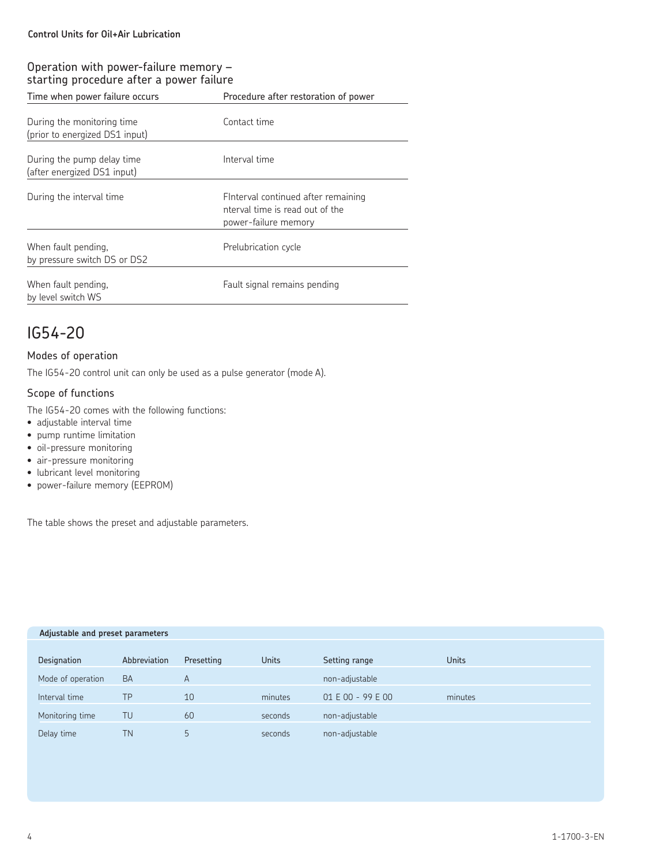## Operation with power-failure memory – starting procedure after a power failure

| Time when power failure occurs                               | Procedure after restoration of power                                                           |  |  |
|--------------------------------------------------------------|------------------------------------------------------------------------------------------------|--|--|
| During the monitoring time<br>(prior to energized DS1 input) | Contact time                                                                                   |  |  |
| During the pump delay time<br>(after energized DS1 input)    | Interval time                                                                                  |  |  |
| During the interval time                                     | Finterval continued after remaining<br>nterval time is read out of the<br>power-failure memory |  |  |
| When fault pending,<br>by pressure switch DS or DS2          | Prelubrication cycle                                                                           |  |  |
| When fault pending,<br>by level switch WS                    | Fault signal remains pending                                                                   |  |  |

# IG54-20

#### Modes of operation

The IG54-20 control unit can only be used as a pulse generator (mode A).

#### Scope of functions

The IG54-20 comes with the following functions:

- adjustable interval time
- pump runtime limitation
- oil-pressure monitoring
- air-pressure monitoring
- lubricant level monitoring
- power-failure memory (EEPROM)

The table shows the preset and adjustable parameters.

| Adjustable and preset parameters |              |            |              |                 |              |  |
|----------------------------------|--------------|------------|--------------|-----------------|--------------|--|
|                                  |              |            |              |                 |              |  |
| Designation                      | Abbreviation | Presetting | <b>Units</b> | Setting range   | <b>Units</b> |  |
| Mode of operation                | <b>BA</b>    | A          |              | non-adjustable  |              |  |
| Interval time                    | TP           | 10         | minutes      | $01E00 - 99E00$ | minutes      |  |
| Monitoring time                  | TU           | 60         | seconds      | non-adjustable  |              |  |
| Delay time                       | <b>TN</b>    | 5          | seconds      | non-adjustable  |              |  |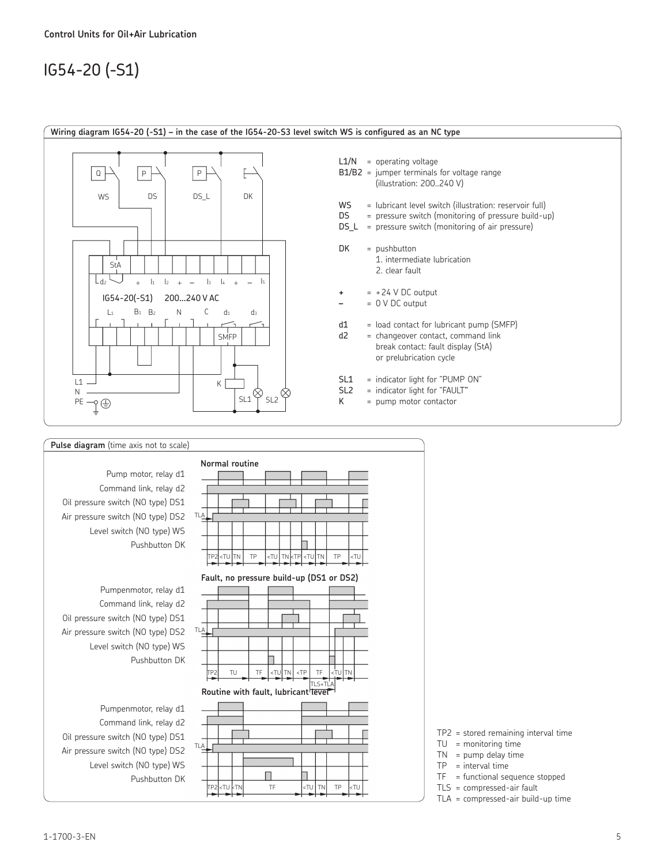# IG54-20 (-S1)



#### **Normal routine** Pump motor, relay d1 Command link, relay d2 Oil pressure switch (NO type) DS1 Air pressure switch (NO type) DS2 TLA Level switch (NO type) WS Pushbutton DK TP2 <TU TN TP <TU TN <TP <TU TN TP <TU **Fault, no pressure build-up (DS1 or DS2)** Pumpenmotor, relay d1 Command link, relay d2 Oil pressure switch (NO type) DS1 TLA Air pressure switch (NO type) DS2 Level switch (NO type) WS Pushbutton DK TP2 TU TF <TU TN <TP TF <TU TN TLS+TLA **Routine with fault, lubricant level** Pumpenmotor, relay d1 Command link, relay d2 Oil pressure switch (NO type) DS1 TLA Air pressure switch (NO type) DS2 Level switch (NO type) WS П Pushbutton DKTP2 <TU <TN TF <TU TN TP <TU

| $TP2$ = stored remaining interval time |  |  |  |
|----------------------------------------|--|--|--|
|----------------------------------------|--|--|--|

- TU = monitoring time
- $TN = pump$  delay time
- $TP = interval time$
- TF = functional sequence stopped
- TLS = compressed-air fault TLA = compressed-air build-up time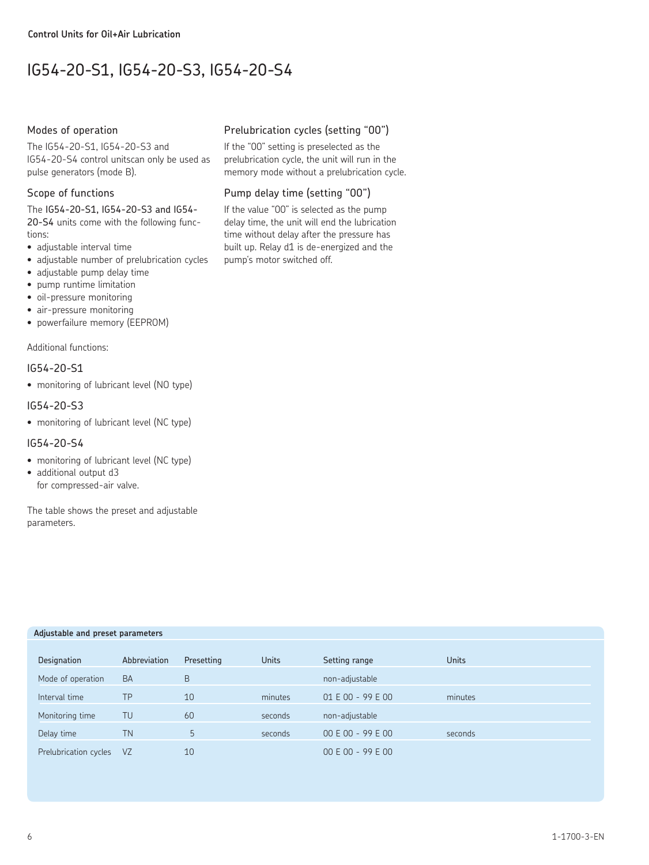# IG54-20-S1, IG54-20-S3, IG54-20-S4

#### Modes of operation

The IG54-20-S1, IG54-20-S3 and IG54-20-S4 control unitscan only be used as pulse generators (mode B).

#### Scope of functions

The IG54-20-S1, IG54-20-S3 and IG54- 20-S4 units come with the following functions:

- adjustable interval time
- adjustable number of prelubrication cycles
- adjustable pump delay time
- pump runtime limitation
- oil-pressure monitoring
- air-pressure monitoring
- powerfailure memory (EEPROM)

Additional functions:

#### IG54-20-S1

• monitoring of lubricant level (NO type)

#### IG54-20-S3

• monitoring of lubricant level (NC type)

#### IG54-20-S4

- monitoring of lubricant level (NC type)
- additional output d3 for compressed-air valve.

The table shows the preset and adjustable parameters.

### Prelubrication cycles (setting "00")

If the "00" setting is preselected as the prelubrication cycle, the unit will run in the memory mode without a prelubrication cycle.

#### Pump delay time (setting "00")

If the value "00" is selected as the pump delay time, the unit will end the lubrication time without delay after the pressure has built up. Relay d1 is de-energized and the pump's motor switched off.

| Abbreviation | Presetting | <b>Units</b> | Setting range     | <b>Units</b> |  |
|--------------|------------|--------------|-------------------|--------------|--|
| <b>BA</b>    | B          |              | non-adjustable    |              |  |
| TΡ           | 10         | minutes      | 01 E 00 - 99 E 00 | minutes      |  |
| TU           | 60         | seconds      | non-adjustable    |              |  |
| ΤN           | 5          | seconds      | 00 E 00 - 99 E 00 | seconds      |  |
| VZ           | 10         |              | 00 E 00 - 99 E 00 |              |  |
|              |            |              |                   |              |  |

## **Adjustable and preset parameters**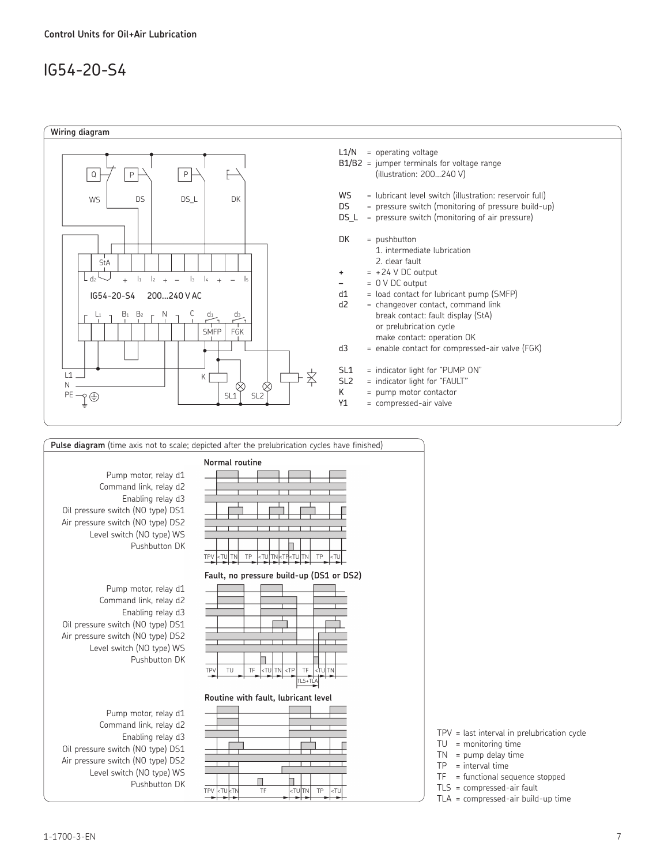# IG54-20-S4





TPV = last interval in prelubrication cycle

- $TU =$  monitoring time
- $TN = pump$  delay time
- $TP = interval time$
- $TF = functional sequence stopped$
- TLS = compressed-air fault
- TLA = compressed-air build-up time